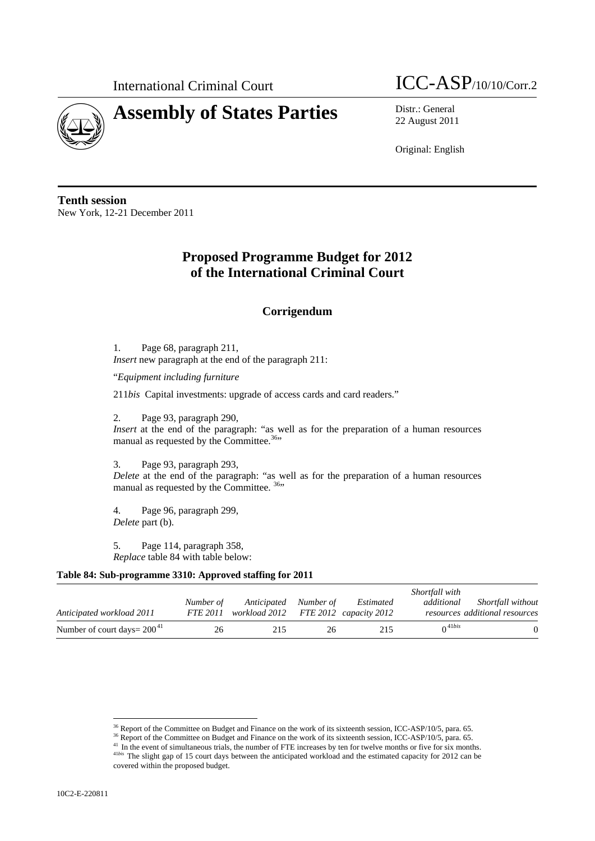

International Criminal Court  $\text{ICC-ASP}_{/10/10/Corr.2}$ 

22 August 2011

Original: English

**Tenth session**  New York, 12-21 December 2011

# **Proposed Programme Budget for 2012 of the International Criminal Court**

## **Corrigendum**

1. Page 68, paragraph 211, *Insert* new paragraph at the end of the paragraph 211:

"*Equipment including furniture* 

211*bis* Capital investments: upgrade of access cards and card readers."

2. Page 93, paragraph 290,

*Insert* at the end of the paragraph: "as well as for the preparation of a human resources manual as requested by the Committee.<sup>36</sup>"

3. Page 93, paragraph 293,

*Delete* at the end of the paragraph: "as well as for the preparation of a human resources manual as requested by the Committee. <sup>36</sup><sup>36</sup>

4. Page 96, paragraph 299, *Delete* part (b).

5. Page 114, paragraph 358, *Replace* table 84 with table below:

#### **Table 84: Sub-programme 3310: Approved staffing for 2011**

|                                   |           |                                                                        |    |           | Shortfall with          |                                                     |
|-----------------------------------|-----------|------------------------------------------------------------------------|----|-----------|-------------------------|-----------------------------------------------------|
| Anticipated workload 2011         | Number of | Anticipated Number of<br>FTE 2011 workload 2012 FTE 2012 capacity 2012 |    | Estimated | additional              | Shortfall without<br>resources additional resources |
| Number of court days = $200^{41}$ | 26        | 215                                                                    | 26 | 215       | $\bigcap_{i=1}^{41bis}$ |                                                     |

 $\overline{a}$ 

<sup>&</sup>lt;sup>36</sup> Report of the Committee on Budget and Finance on the work of its sixteenth session, ICC-ASP/10/5, para. 65.<br><sup>36</sup> Report of the Committee on Budget and Finance on the work of its sixteenth session, ICC-ASP/10/5, para. covered within the proposed budget.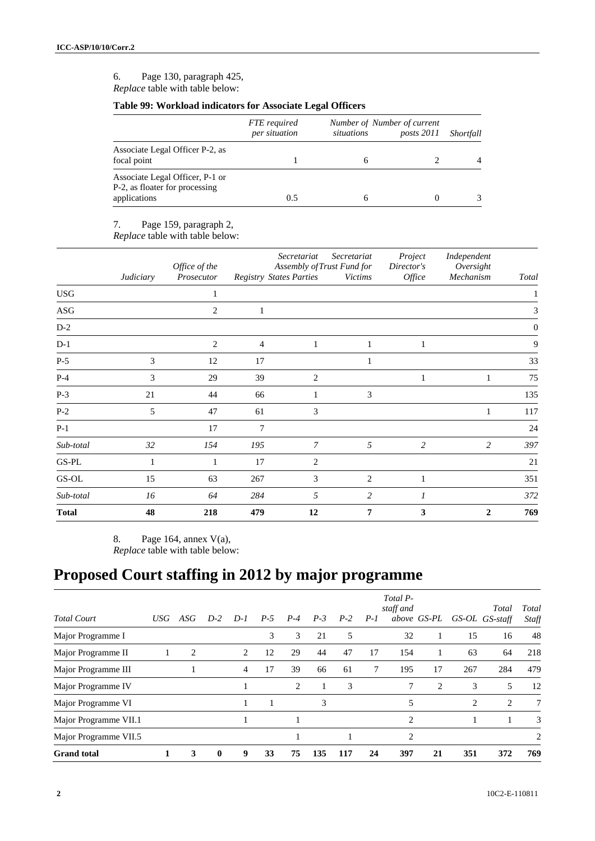6. Page 130, paragraph 425, *Replace* table with table below:

### **Table 99: Workload indicators for Associate Legal Officers**

|                                                                                   | FTE required<br>per situation | situations | Number of Number of current<br>posts 2011 | Shortfall |
|-----------------------------------------------------------------------------------|-------------------------------|------------|-------------------------------------------|-----------|
| Associate Legal Officer P-2, as<br>focal point                                    |                               |            |                                           |           |
| Associate Legal Officer, P-1 or<br>P-2, as floater for processing<br>applications | 0.5                           |            |                                           | 3         |

7. Page 159, paragraph 2,

*Replace* table with table below:

|              | Judiciary | Office of the<br>Prosecutor |                | Secretariat<br><b>Registry States Parties</b> | Secretariat<br>Assembly of Trust Fund for<br><b>Victims</b> | Project<br>Director's<br>Office | Independent<br>Oversight<br>Mechanism | Total        |
|--------------|-----------|-----------------------------|----------------|-----------------------------------------------|-------------------------------------------------------------|---------------------------------|---------------------------------------|--------------|
| <b>USG</b>   |           | 1                           |                |                                               |                                                             |                                 |                                       |              |
| ASG          |           | $\overline{2}$              | 1              |                                               |                                                             |                                 |                                       | 3            |
| $D-2$        |           |                             |                |                                               |                                                             |                                 |                                       | $\mathbf{0}$ |
| $D-1$        |           | $\overline{2}$              | $\overline{4}$ | 1                                             | 1                                                           | $\mathbf{1}$                    |                                       | 9            |
| $P-5$        | 3         | 12                          | 17             |                                               |                                                             |                                 |                                       | 33           |
| $P-4$        | 3         | 29                          | 39             | $\mathbf{2}$                                  |                                                             | 1                               | 1                                     | 75           |
| $P-3$        | 21        | 44                          | 66             | 1                                             | 3                                                           |                                 |                                       | 135          |
| $P-2$        | 5         | 47                          | 61             | 3                                             |                                                             |                                 | $\mathbf{1}$                          | 117          |
| $P-1$        |           | 17                          | 7              |                                               |                                                             |                                 |                                       | 24           |
| Sub-total    | 32        | 154                         | 195            | 7                                             | 5                                                           | 2                               | 2                                     | 397          |
| $GS-PL$      |           | 1                           | 17             | $\overline{c}$                                |                                                             |                                 |                                       | 21           |
| $GS-OL$      | 15        | 63                          | 267            | 3                                             | $\overline{2}$                                              | 1                               |                                       | 351          |
| Sub-total    | 16        | 64                          | 284            | 5                                             | $\overline{c}$                                              | $\overline{I}$                  |                                       | 372          |
| <b>Total</b> | 48        | 218                         | 479            | 12                                            | 7                                                           | 3                               | $\mathbf{2}$                          | 769          |

8. Page 164, annex V(a),

*Replace* table with table below:

# **Proposed Court staffing in 2012 by major programme**

| <b>Total Court</b>    | USG |                | $D-2$        | $D-1$ | $P-5$ | $P-4$ | $P-3$ |       |       | Total P-<br>staff and |                |     | Total          | Total           |
|-----------------------|-----|----------------|--------------|-------|-------|-------|-------|-------|-------|-----------------------|----------------|-----|----------------|-----------------|
|                       |     | ASG            |              |       |       |       |       | $P-2$ | $P-I$ |                       | above GS-PL    |     | GS-OL GS-staff | Staff           |
| Major Programme I     |     |                |              |       | 3     | 3     | 21    | 5     |       | 32                    |                | 15  | 16             | 48              |
| Major Programme II    |     | $\overline{2}$ |              | 2     | 12    | 29    | 44    | 47    | 17    | 154                   |                | 63  | 64             | 218             |
| Major Programme III   |     |                |              | 4     | 17    | 39    | 66    | 61    | 7     | 195                   | 17             | 267 | 284            | 479             |
| Major Programme IV    |     |                |              |       |       | 2     |       | 3     |       | 7                     | $\overline{c}$ | 3   | 5              | 12              |
| Major Programme VI    |     |                |              |       |       |       | 3     |       |       | 5                     |                | 2   | 2              | $7\phantom{.0}$ |
| Major Programme VII.1 |     |                |              |       |       |       |       |       |       | $\overline{c}$        |                |     |                | 3               |
| Major Programme VII.5 |     |                |              |       |       |       |       |       |       | $\overline{c}$        |                |     |                | 2               |
| <b>Grand</b> total    |     | 3              | $\mathbf{0}$ | 9     | 33    | 75    | 135   | 117   | 24    | 397                   | 21             | 351 | 372            | 769             |